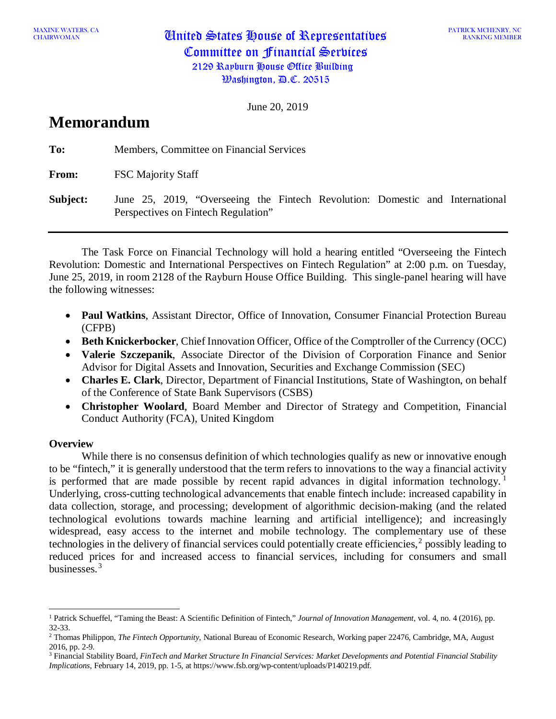CHAIRWOMAN United States House of Representatives Committee on Financial Services 2129 Rayburn House Office Building  $\mathfrak{B}$ ashington,  $\mathfrak{B}$ .C. 20515

June 20, 2019

# **Memorandum**

**To:** Members, Committee on Financial Services **From:** FSC Majority Staff **Subject:** June 25, 2019, "Overseeing the Fintech Revolution: Domestic and International Perspectives on Fintech Regulation"

The Task Force on Financial Technology will hold a hearing entitled "Overseeing the Fintech Revolution: Domestic and International Perspectives on Fintech Regulation" at 2:00 p.m. on Tuesday, June 25, 2019, in room 2128 of the Rayburn House Office Building. This single-panel hearing will have the following witnesses:

- **Paul Watkins**, Assistant Director, Office of Innovation, Consumer Financial Protection Bureau (CFPB)
- **Beth Knickerbocker**, Chief Innovation Officer, Office of the Comptroller of the Currency (OCC)
- **Valerie Szczepanik**, Associate Director of the Division of Corporation Finance and Senior Advisor for Digital Assets and Innovation, Securities and Exchange Commission (SEC)
- **Charles E. Clark**, Director, Department of Financial Institutions, State of Washington, on behalf of the Conference of State Bank Supervisors (CSBS)
- **Christopher Woolard**, Board Member and Director of Strategy and Competition, Financial Conduct Authority (FCA), United Kingdom

# **Overview**

While there is no consensus definition of which technologies qualify as new or innovative enough to be "fintech," it is generally understood that the term refers to innovations to the way a financial activity is performed that are made possible by recent rapid advances in digital information technology.<sup>[1](#page-0-0)</sup> Underlying, cross-cutting technological advancements that enable fintech include: increased capability in data collection, storage, and processing; development of algorithmic decision-making (and the related technological evolutions towards machine learning and artificial intelligence); and increasingly widespread, easy access to the internet and mobile technology. The complementary use of these technologies in the delivery of financial services could potentially create efficiencies,<sup>[2](#page-0-1)</sup> possibly leading to reduced prices for and increased access to financial services, including for consumers and small businesses.[3](#page-0-2)

<span id="page-0-0"></span><sup>1</sup> Patrick Schueffel, "Taming the Beast: A Scientific Definition of Fintech," *Journal of Innovation Management*, vol. 4, no. 4 (2016), pp. 32-33.

<span id="page-0-1"></span><sup>2</sup> Thomas Philippon, *The Fintech Opportunity*, National Bureau of Economic Research, Working paper 22476, Cambridge, MA, August 2016, pp. 2-9.

<span id="page-0-2"></span><sup>3</sup> Financial Stability Board, *FinTech and Market Structure In Financial Services: Market Developments and Potential Financial Stability Implications*, February 14, 2019, pp. 1-5, at [https://www.fsb.org/wp-content/uploads/P140219.pdf.](https://www.fsb.org/wp-content/uploads/P140219.pdf)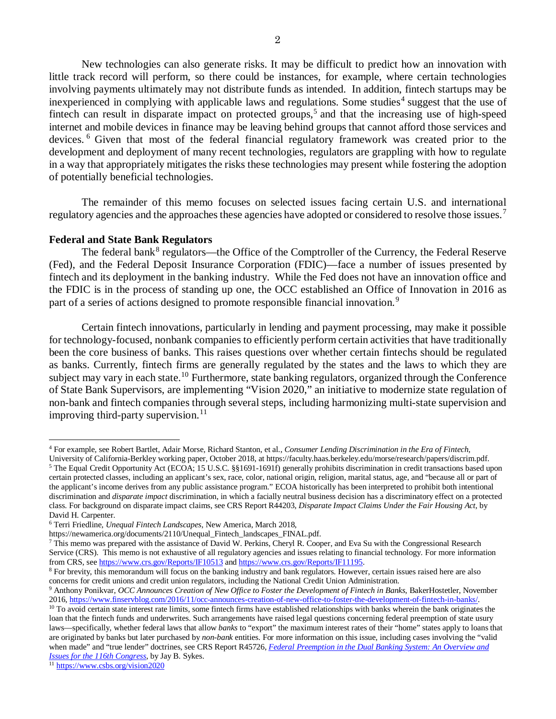New technologies can also generate risks. It may be difficult to predict how an innovation with little track record will perform, so there could be instances, for example, where certain technologies involving payments ultimately may not distribute funds as intended. In addition, fintech startups may be inexperienced in complying with applicable laws and regulations. Some studies<sup>[4](#page-1-0)</sup> suggest that the use of fintech can result in disparate impact on protected groups,<sup>[5](#page-1-1)</sup> and that the increasing use of high-speed internet and mobile devices in finance may be leaving behind groups that cannot afford those services and devices. [6](#page-1-2) Given that most of the federal financial regulatory framework was created prior to the development and deployment of many recent technologies, regulators are grappling with how to regulate in a way that appropriately mitigates the risks these technologies may present while fostering the adoption of potentially beneficial technologies.

The remainder of this memo focuses on selected issues facing certain U.S. and international regulatory agencies and the approaches these agencies have adopted or considered to resolve those issues.<sup>[7](#page-1-3)</sup>

#### **Federal and State Bank Regulators**

The federal bank<sup>[8](#page-1-4)</sup> regulators—the Office of the Comptroller of the Currency, the Federal Reserve (Fed), and the Federal Deposit Insurance Corporation (FDIC)—face a number of issues presented by fintech and its deployment in the banking industry. While the Fed does not have an innovation office and the FDIC is in the process of standing up one, the OCC established an Office of Innovation in 2016 as part of a series of actions designed to promote responsible financial innovation.[9](#page-1-5)

Certain fintech innovations*,* particularly in lending and payment processing, may make it possible for technology-focused, nonbank companies to efficiently perform certain activities that have traditionally been the core business of banks. This raises questions over whether certain fintechs should be regulated as banks. Currently, fintech firms are generally regulated by the states and the laws to which they are subject may vary in each state.<sup>[10](#page-1-6)</sup> Furthermore, state banking regulators, organized through the Conference of State Bank Supervisors, are implementing "Vision 2020," an initiative to modernize state regulation of non-bank and fintech companies through several steps, including harmonizing multi-state supervision and improving third-party supervision.<sup>[11](#page-1-7)</sup>

<span id="page-1-0"></span><sup>4</sup> For example, see Robert Bartlet, Adair Morse, Richard Stanton, et al., *Consumer Lending Discrimination in the Era of Fintech*,

<span id="page-1-1"></span>University of California-Berkley working paper, October 2018, a[t https://faculty.haas.berkeley.edu/morse/research/papers/discrim.pdf.](https://faculty.haas.berkeley.edu/morse/research/papers/discrim.pdf) <sup>5</sup> The Equal Credit Opportunity Act (ECOA; 15 U.S.C. §§1691-1691f) generally prohibits discrimination in credit transactions based upon certain protected classes, including an applicant's sex, race, color, national origin, religion, marital status, age, and "because all or part of the applicant's income derives from any public assistance program." ECOA historically has been interpreted to prohibit both intentional discrimination and *disparate impact* discrimination, in which a facially neutral business decision has a discriminatory effect on a protected class. For background on disparate impact claims, see CRS Report R44203, *Disparate Impact Claims Under the Fair Housing Act*, by David H. Carpenter.

<span id="page-1-2"></span><sup>6</sup> Terri Friedline, *Unequal Fintech Landscapes*, New America, March 2018,

<span id="page-1-3"></span> $\frac{7}{10}$  This memo was prepared with the assistance of David W. Perkins, Cheryl R. Cooper, and Eva Su with the Congressional Research Service (CRS). This memo is not exhaustive of all regulatory agencies and issues relating to financial technology. For more information from CRS, see https://www.crs.gov/Reports/IF10513 [a](https://www.crs.gov/Reports/IF10513)nd https://www.crs.gov/Reports/IF11195.<br><sup>8</sup> For brevity, this memorandum will focus on the banking industry and bank regulators. However, certain issues raised here are al

<span id="page-1-4"></span>concerns for credit unions and credit union regulators, including the National Credit Union Administration.

<span id="page-1-5"></span><sup>&</sup>lt;sup>9</sup> Anthony Ponikvar, *OCC Announces Creation of New Office to Foster the Development of Fintech in Banks*, BakerHostetler, November 2016, https://www.finservblog.com/2016/11/occ-announces-creation-of-new-office-to-foster-

<span id="page-1-6"></span><sup>&</sup>lt;sup>10</sup> To avoid certain state interest rate limits, some fintech firms have established relationships with banks wherein the bank originates the loan that the fintech funds and underwrites. Such arrangements have raised legal questions concerning federal preemption of state usury laws—specifically, whether federal laws that allow *banks* to "export" the maximum interest rates of their "home" states apply to loans that are originated by banks but later purchased by *non-bank* entities. For more information on this issue, including cases involving the "valid when made" and "true lender" doctrines, see CRS Report R45726, *[Federal Preemption in the Dual Banking System: An Overview and](http://www.crs.gov/Reports/R45726)  [Issues for the 116th Congress](http://www.crs.gov/Reports/R45726)*, by Jay B. Sykes.

<span id="page-1-7"></span><sup>&</sup>lt;sup>11</sup> <https://www.csbs.org/vision2020>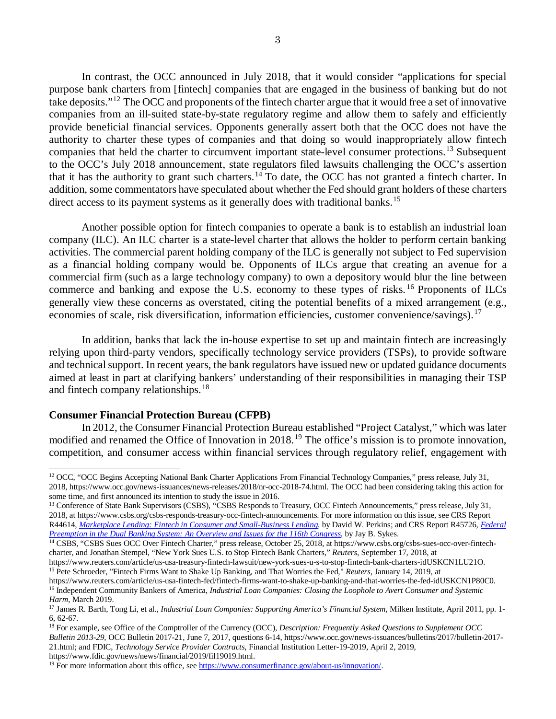In contrast, the OCC announced in July 2018, that it would consider "applications for special purpose bank charters from [fintech] companies that are engaged in the business of banking but do not take deposits."[12](#page-2-0) The OCC and proponents of the fintech charter argue that it would free a set of innovative companies from an ill-suited state-by-state regulatory regime and allow them to safely and efficiently provide beneficial financial services. Opponents generally assert both that the OCC does not have the authority to charter these types of companies and that doing so would inappropriately allow fintech companies that held the charter to circumvent important state-level consumer protections.<sup>[13](#page-2-1)</sup> Subsequent to the OCC's July 2018 announcement, state regulators filed lawsuits challenging the OCC's assertion that it has the authority to grant such charters.[14](#page-2-2) To date, the OCC has not granted a fintech charter. In addition, some commentators have speculated about whether the Fed should grant holders of these charters direct access to its payment systems as it generally does with traditional banks.<sup>[15](#page-2-3)</sup>

Another possible option for fintech companies to operate a bank is to establish an industrial loan company (ILC). An ILC charter is a state-level charter that allows the holder to perform certain banking activities. The commercial parent holding company of the ILC is generally not subject to Fed supervision as a financial holding company would be. Opponents of ILCs argue that creating an avenue for a commercial firm (such as a large technology company) to own a depository would blur the line between commerce and banking and expose the U.S. economy to these types of risks.<sup>[16](#page-2-4)</sup> Proponents of ILCs generally view these concerns as overstated, citing the potential benefits of a mixed arrangement (e.g., economies of scale, risk diversification, information efficiencies, customer convenience/savings).<sup>[17](#page-2-5)</sup>

In addition, banks that lack the in-house expertise to set up and maintain fintech are increasingly relying upon third-party vendors, specifically technology service providers (TSPs), to provide software and technical support. In recent years, the bank regulators have issued new or updated guidance documents aimed at least in part at clarifying bankers' understanding of their responsibilities in managing their TSP and fintech company relationships.<sup>[18](#page-2-6)</sup>

#### **Consumer Financial Protection Bureau (CFPB)**

In 2012, the Consumer Financial Protection Bureau established "Project Catalyst," which was later modified and renamed the Office of Innovation in 2018.[19](#page-2-7) The office's mission is to promote innovation, competition, and consumer access within financial services through regulatory relief, engagement with

<span id="page-2-1"></span><sup>13</sup> Conference of State Bank Supervisors (CSBS), "CSBS Responds to Treasury, OCC Fintech Announcements," press release, July 31, 2018[, at https://www.csbs.org/csbs-responds-treasury-occ-fintech-announcements.](file://crsdomain/crshomedir/GF/dperkins/Marketplace%20lending/Update/at%20https:/www.csbs.org/csbs-responds-treasury-occ-fintech-announcements) For more information on this issue, see CRS Report R44614, *[Marketplace Lending: Fintech in Consumer and Small-Business Lending](http://www.crs.gov/Reports/R44614)*, by David W. Perkins; and CRS Report R45726, *[Federal](http://www.crs.gov/Reports/R45726)  [Preemption in the Dual Banking System: An Overview and Issues for the 116th Congress](http://www.crs.gov/Reports/R45726)*, by Jay B. Sykes.

<span id="page-2-0"></span><sup>&</sup>lt;sup>12</sup> OCC, "OCC Begins Accepting National Bank Charter Applications From Financial Technology Companies," press release, July 31, 2018[, https://www.occ.gov/news-issuances/news-releases/2018/nr-occ-2018-74.html.](https://www.occ.gov/news-issuances/news-releases/2018/nr-occ-2018-74.html) The OCC had been considering taking this action for some time, and first announced its intention to study the issue in 2016.

<span id="page-2-2"></span><sup>14</sup> CSBS, "CSBS Sues OCC Over Fintech Charter," press release, October 25, 2018, at https://www.csbs.org/csbs-sues-occ-over-fintechcharter, and Jonathan Stempel, "New York Sues U.S. to Stop Fintech Bank Charters," *Reuters*, September 17, 2018, at

https://www.reuters.com/article/us-usa-treasury-fintech-lawsuit/new-york-sues-u-s-to-stop-fintech-bank-charters-idUSKCN1LU21O. <sup>15</sup> Pete Schroeder, "Fintech Firms Want to Shake Up Banking, and That Worries the Fed," *Reuters*, January 14, 2019, at

<span id="page-2-4"></span><span id="page-2-3"></span>[https://www.reuters.com/article/us-usa-fintech-fed/fintech-firms-want-to-shake-up-banking-and-that-worries-the-fed-idUSKCN1P80C0.](https://www.reuters.com/article/us-usa-fintech-fed/fintech-firms-want-to-shake-up-banking-and-that-worries-the-fed-idUSKCN1P80C0) <sup>16</sup> Independent Community Bankers of America, *Industrial Loan Companies: Closing the Loophole to Avert Consumer and Systemic Harm*, March 2019.

<span id="page-2-5"></span><sup>17</sup> James R. Barth, Tong Li, et al., *Industrial Loan Companies: Supporting America's Financial System*, Milken Institute, April 2011, pp. 1- 6, 62-67.

<span id="page-2-6"></span><sup>18</sup> For example, see Office of the Comptroller of the Currency (OCC), *Description: Frequently Asked Questions to Supplement OCC Bulletin 2013-29*, OCC Bulletin 2017-21, June 7, 2017, questions 6-14, [https://www.occ.gov/news-issuances/bulletins/2017/bulletin-2017-](https://www.occ.gov/news-issuances/bulletins/2017/bulletin-2017-21.html) [21.html;](https://www.occ.gov/news-issuances/bulletins/2017/bulletin-2017-21.html) and FDIC, *Technology Service Provider Contracts*, Financial Institution Letter-19-2019, April 2, 2019, [https://www.fdic.gov/news/news/financial/2019/fil19019.html.](https://www.fdic.gov/news/news/financial/2019/fil19019.html)

<span id="page-2-7"></span><sup>&</sup>lt;sup>19</sup> For more information about this office, see [https://www.consumerfinance.gov/about-us/innovation/.](https://www.consumerfinance.gov/about-us/innovation/)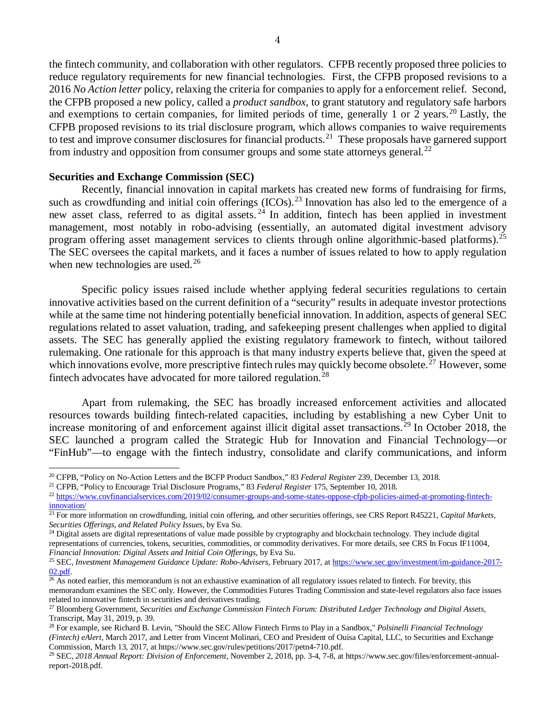the fintech community, and collaboration with other regulators. CFPB recently proposed three policies to reduce regulatory requirements for new financial technologies. First, the CFPB proposed revisions to a 2016 *No Action letter* policy, relaxing the criteria for companies to apply for a enforcement relief. Second, the CFPB proposed a new policy, called a *product sandbox*, to grant statutory and regulatory safe harbors and exemptions to certain companies, for limited periods of time, generally 1 or 2 years.<sup>[20](#page-3-0)</sup> Lastly, the CFPB proposed revisions to its trial disclosure program, which allows companies to waive requirements to test and improve consumer disclosures for financial products.[21](#page-3-1)These proposals have garnered support from industry and opposition from consumer groups and some state attorneys general.[22](#page-3-2)

### **Securities and Exchange Commission (SEC)**

Recently, financial innovation in capital markets has created new forms of fundraising for firms, such as crowdfunding and initial coin offerings (ICOs).<sup>[23](#page-3-3)</sup> Innovation has also led to the emergence of a new asset class, referred to as digital assets.<sup>[24](#page-3-4)</sup> In addition, fintech has been applied in investment management, most notably in robo-advising (essentially, an automated digital investment advisory program offering asset management services to clients through online algorithmic-based platforms).<sup>[25](#page-3-5)</sup> The SEC oversees the capital markets, and it faces a number of issues related to how to apply regulation when new technologies are used.<sup>[26](#page-3-6)</sup>

Specific policy issues raised include whether applying federal securities regulations to certain innovative activities based on the current definition of a "security" results in adequate investor protections while at the same time not hindering potentially beneficial innovation. In addition, aspects of general SEC regulations related to asset valuation, trading, and safekeeping present challenges when applied to digital assets. The SEC has generally applied the existing regulatory framework to fintech, without tailored rulemaking. One rationale for this approach is that many industry experts believe that, given the speed at which innovations evolve, more prescriptive fintech rules may quickly become obsolete.<sup>[27](#page-3-7)</sup> However, some fintech advocates have advocated for more tailored regulation.<sup>[28](#page-3-8)</sup>

Apart from rulemaking, the SEC has broadly increased enforcement activities and allocated resources towards building fintech-related capacities, including by establishing a new Cyber Unit to increase monitoring of and enforcement against illicit digital asset transactions.<sup>[29](#page-3-9)</sup> In October 2018, the SEC launched a program called the Strategic Hub for Innovation and Financial Technology—or "FinHub"—to engage with the fintech industry, consolidate and clarify communications, and inform

<span id="page-3-0"></span><sup>20</sup> CFPB, "Policy on No-Action Letters and the BCFP Product Sandbox," 83 *Federal Register* 239, December 13, 2018.

<span id="page-3-1"></span><sup>21</sup> CFPB, "Policy to Encourage Trial Disclosure Programs," 83 *Federal Register* 175, September 10, 2018.

<span id="page-3-2"></span><sup>&</sup>lt;sup>22</sup> [https://www.covfinancialservices.com/2019/02/consumer-groups-and-some-states-oppose-cfpb-policies-aimed-at-promoting-fintech](https://www.covfinancialservices.com/2019/02/consumer-groups-and-some-states-oppose-cfpb-policies-aimed-at-promoting-fintech-innovation/)[innovation/](https://www.covfinancialservices.com/2019/02/consumer-groups-and-some-states-oppose-cfpb-policies-aimed-at-promoting-fintech-innovation/)

<span id="page-3-3"></span><sup>&</sup>lt;sup>23</sup> For more information on crowdfunding, initial coin offering, and other securities offerings, see CRS Report R45221, *Capital Markets*, *Securities Offerings, and Related Policy Issues*, by Eva Su.

<span id="page-3-4"></span><sup>&</sup>lt;sup>24</sup> Digital assets are digital representations of value made possible by cryptography and blockchain technology. They include digital representations of currencies, tokens, securities, commodities, or commodity derivatives. For more details, see CRS In Focus IF11004, *Financial Innovation: Digital Assets and Initial Coin Offerings*, by Eva Su.

<span id="page-3-5"></span><sup>25</sup> SEC, *Investment Management Guidance Update: Robo-Advisers*, February 2017, at [https://www.sec.gov/investment/im-guidance-2017-](https://www.sec.gov/investment/im-guidance-2017-02.pdf)  $\frac{02. \text{pdf}}{26}$  As noted earlier, this memorandum is not an exhaustive examination of all regulatory issues related to fintech. For brevity, this

<span id="page-3-6"></span>memorandum examines the SEC only. However, the Commodities Futures Trading Commission and state-level regulators also face issues related to innovative fintech in securities and derivatives trading.

<span id="page-3-7"></span><sup>27</sup> Bloomberg Government, *Securities and Exchange Commission Fintech Forum: Distributed Ledger Technology and Digital Assets*, Transcript, May 31, 2019, p. 39.

<span id="page-3-8"></span><sup>28</sup> For example, see Richard B. Levin, "Should the SEC Allow Fintech Firms to Play in a Sandbox," *Polsinelli Financial Technology (Fintech) eAlert*, March 2017, and Letter from Vincent Molinari, CEO and President of Ouisa Capital, LLC, to Securities and Exchange Commission, March 13, 2017, a[t https://www.sec.gov/rules/petitions/2017/petn4-710.pdf.](https://www.sec.gov/rules/petitions/2017/petn4-710.pdf)

<span id="page-3-9"></span><sup>29</sup> SEC, *2018 Annual Report: Division of Enforcement*, November 2, 2018, pp. 3-4, 7-8, at [https://www.sec.gov/files/enforcement-annual](https://www.sec.gov/files/enforcement-annual-report-2018.pdf)[report-2018.pdf.](https://www.sec.gov/files/enforcement-annual-report-2018.pdf)